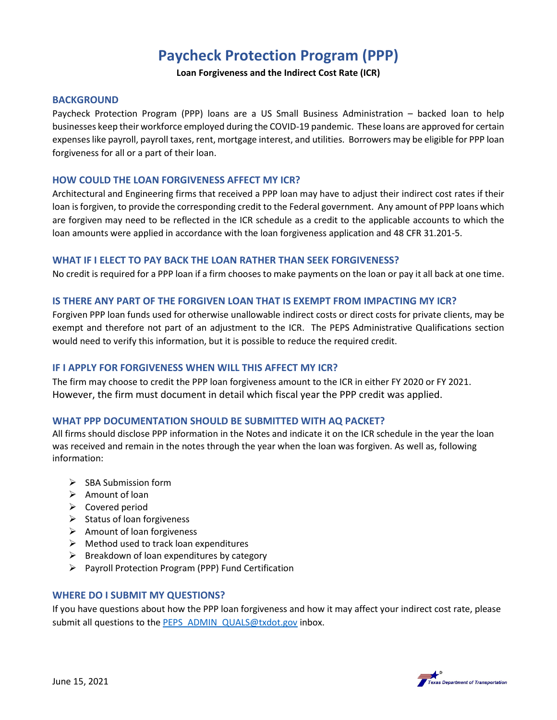# **Paycheck Protection Program (PPP)**

**Loan Forgiveness and the Indirect Cost Rate (ICR)**

#### **BACKGROUND**

Paycheck Protection Program (PPP) loans are a US Small Business Administration – backed loan to help businesses keep their workforce employed during the COVID-19 pandemic. These loans are approved for certain expenses like payroll, payroll taxes, rent, mortgage interest, and utilities. Borrowers may be eligible for PPP loan forgiveness for all or a part of their loan.

## **HOW COULD THE LOAN FORGIVENESS AFFECT MY ICR?**

Architectural and Engineering firms that received a PPP loan may have to adjust their indirect cost rates if their loan is forgiven, to provide the corresponding credit to the Federal government. Any amount of PPP loans which are forgiven may need to be reflected in the ICR schedule as a credit to the applicable accounts to which the loan amounts were applied in accordance with the loan forgiveness application and 48 CFR 31.201-5.

#### **WHAT IF I ELECT TO PAY BACK THE LOAN RATHER THAN SEEK FORGIVENESS?**

No credit is required for a PPP loan if a firm chooses to make payments on the loan or pay it all back at one time.

## **IS THERE ANY PART OF THE FORGIVEN LOAN THAT IS EXEMPT FROM IMPACTING MY ICR?**

Forgiven PPP loan funds used for otherwise unallowable indirect costs or direct costs for private clients, may be exempt and therefore not part of an adjustment to the ICR. The PEPS Administrative Qualifications section would need to verify this information, but it is possible to reduce the required credit.

## **IF I APPLY FOR FORGIVENESS WHEN WILL THIS AFFECT MY ICR?**

The firm may choose to credit the PPP loan forgiveness amount to the ICR in either FY 2020 or FY 2021. However, the firm must document in detail which fiscal year the PPP credit was applied.

## **WHAT PPP DOCUMENTATION SHOULD BE SUBMITTED WITH AQ PACKET?**

All firms should disclose PPP information in the Notes and indicate it on the ICR schedule in the year the loan was received and remain in the notes through the year when the loan was forgiven. As well as, following information:

- $\triangleright$  SBA Submission form
- $\triangleright$  Amount of loan
- $\triangleright$  Covered period
- $\triangleright$  Status of loan forgiveness
- $\triangleright$  Amount of loan forgiveness
- $\triangleright$  Method used to track loan expenditures
- $\triangleright$  Breakdown of loan expenditures by category
- Payroll Protection Program (PPP) Fund Certification

## **WHERE DO I SUBMIT MY QUESTIONS?**

If you have questions about how the PPP loan forgiveness and how it may affect your indirect cost rate, please submit all questions to the [PEPS\\_ADMIN\\_QUALS@txdot.gov](mailto:PEPS_ADMIN_QUALS@txdot.gov) inbox.